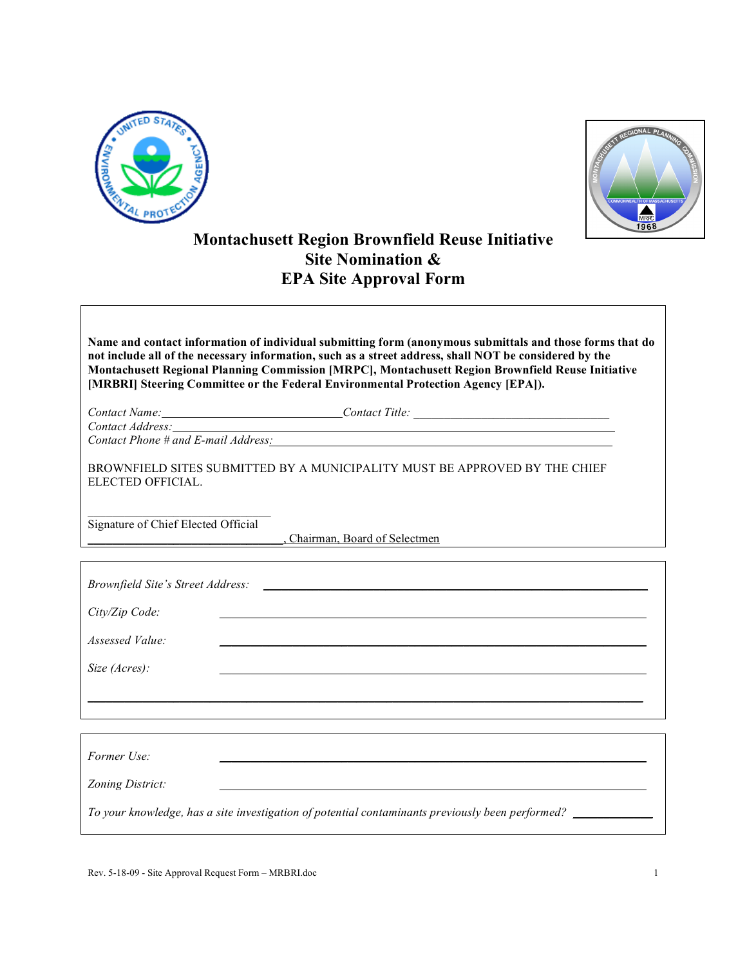



## **Montachusett Region Brownfield Reuse Initiative Site Nomination & EPA Site Approval Form**

**Name and contact information of individual submitting form (anonymous submittals and those forms that do** not include all of the necessary information, such as a street address, shall NOT be considered by the **Montachusett Regional Planning Commission [MRPC], Montachusett Region Brownfield Reuse Initiative [MRBRI] Steering Committee or the Federal Environmental Protection Agency [EPA]).**

*Contact Name: Contact Title: \_\_\_\_\_\_\_\_\_\_\_\_\_\_\_\_\_\_\_\_\_\_\_\_\_\_\_\_\_\_\_\_ Contact Address: Contact Phone # and E-mail Address: \_\_\_\_\_\_\_\_\_\_\_\_\_\_\_\_\_\_\_\_\_\_\_\_\_\_\_\_\_\_\_\_\_* 

BROWNFIELD SITES SUBMITTED BY A MUNICIPALITY MUST BE APPROVED BY THE CHIEF ELECTED OFFICIAL.

 $\mathcal{L}_\text{max}$  , where  $\mathcal{L}_\text{max}$  and  $\mathcal{L}_\text{max}$  and  $\mathcal{L}_\text{max}$ Signature of Chief Elected Official

\_\_\_\_\_\_\_\_\_\_\_\_\_\_\_\_\_\_\_\_\_\_\_\_\_\_\_\_\_\_\_\_, Chairman, Board of Selectmen

| Brownfield Site's Street Address:                                                                |  |  |
|--------------------------------------------------------------------------------------------------|--|--|
| City/Zip Code:                                                                                   |  |  |
| Assessed Value:                                                                                  |  |  |
| Size (Acres):                                                                                    |  |  |
|                                                                                                  |  |  |
|                                                                                                  |  |  |
| Former Use:                                                                                      |  |  |
| Zoning District:                                                                                 |  |  |
| To your knowledge, has a site investigation of potential contaminants previously been performed? |  |  |
|                                                                                                  |  |  |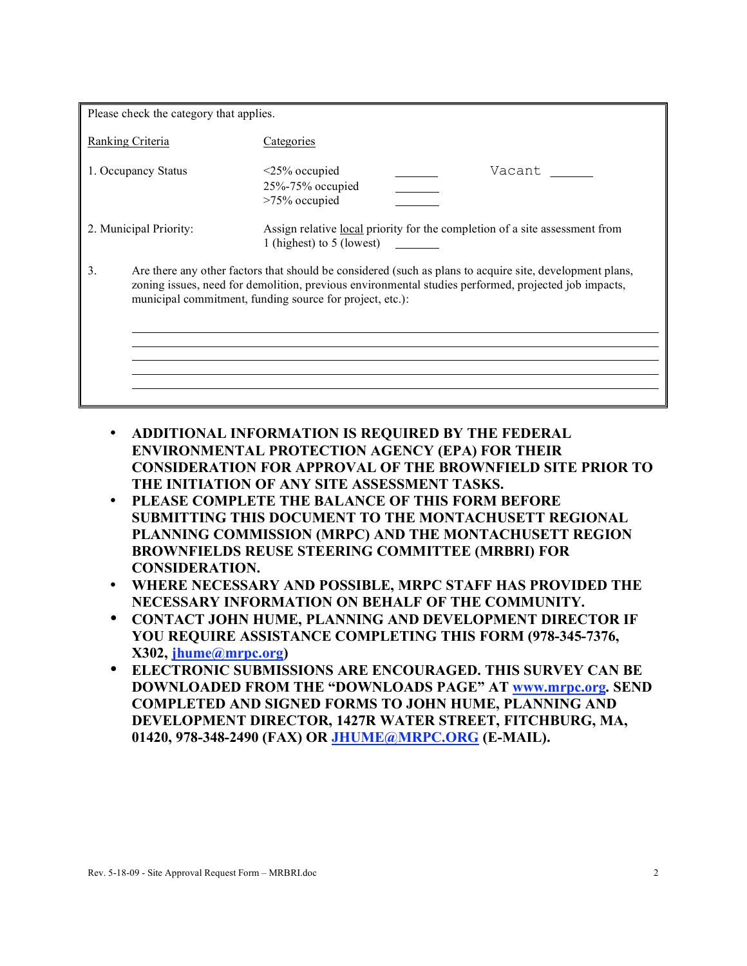| Please check the category that applies. |                                                                                                                                                                                                                                                                              |  |
|-----------------------------------------|------------------------------------------------------------------------------------------------------------------------------------------------------------------------------------------------------------------------------------------------------------------------------|--|
| Ranking Criteria                        | Categories                                                                                                                                                                                                                                                                   |  |
| 1. Occupancy Status                     | Vacant<br>$\leq$ 25% occupied<br>25%-75% occupied<br>$>75\%$ occupied                                                                                                                                                                                                        |  |
| 2. Municipal Priority:                  | Assign relative <u>local</u> priority for the completion of a site assessment from<br>1 (highest) to 5 (lowest)                                                                                                                                                              |  |
| 3.                                      | Are there any other factors that should be considered (such as plans to acquire site, development plans,<br>zoning issues, need for demolition, previous environmental studies performed, projected job impacts,<br>municipal commitment, funding source for project, etc.): |  |

- **ADDITIONAL INFORMATION IS REQUIRED BY THE FEDERAL ENVIRONMENTAL PROTECTION AGENCY (EPA) FOR THEIR CONSIDERATION FOR APPROVAL OF THE BROWNFIELD SITE PRIOR TO THE INITIATION OF ANY SITE ASSESSMENT TASKS.**
- **PLEASE COMPLETE THE BALANCE OF THIS FORM BEFORE SUBMITTING THIS DOCUMENT TO THE MONTACHUSETT REGIONAL PLANNING COMMISSION (MRPC) AND THE MONTACHUSETT REGION BROWNFIELDS REUSE STEERING COMMITTEE (MRBRI) FOR CONSIDERATION.**
- **WHERE NECESSARY AND POSSIBLE, MRPC STAFF HAS PROVIDED THE NECESSARY INFORMATION ON BEHALF OF THE COMMUNITY.**
- **CONTACT JOHN HUME, PLANNING AND DEVELOPMENT DIRECTOR IF YOU REQUIRE ASSISTANCE COMPLETING THIS FORM (978-345-7376, X302, jhume@mrpc.org)**
- **ELECTRONIC SUBMISSIONS ARE ENCOURAGED. THIS SURVEY CAN BE DOWNLOADED FROM THE "DOWNLOADS PAGE" AT www.mrpc.org. SEND COMPLETED AND SIGNED FORMS TO JOHN HUME, PLANNING AND DEVELOPMENT DIRECTOR, 1427R WATER STREET, FITCHBURG, MA, 01420, 978-348-2490 (FAX) OR JHUME@MRPC.ORG (E-MAIL).**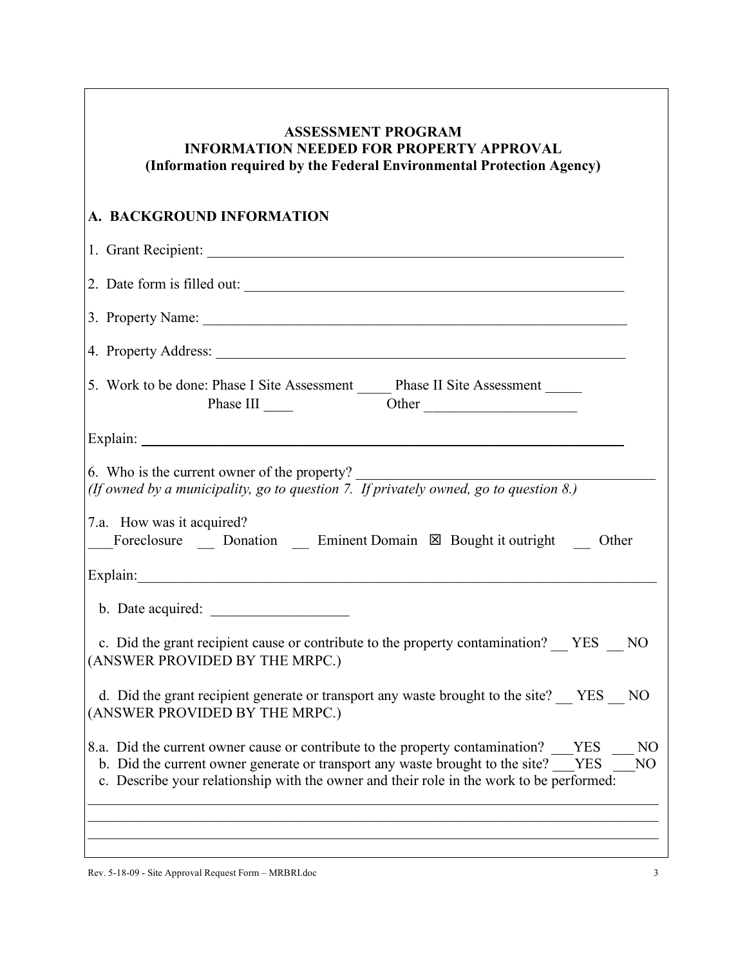#### **ASSESSMENT PROGRAM INFORMATION NEEDED FOR PROPERTY APPROVAL (Information required by the Federal Environmental Protection Agency)**

### **A. BACKGROUND INFORMATION**

| 1. Grant Recipient:                                                                                                                                                                                                                                                                     |
|-----------------------------------------------------------------------------------------------------------------------------------------------------------------------------------------------------------------------------------------------------------------------------------------|
| 2. Date form is filled out:                                                                                                                                                                                                                                                             |
| 3. Property Name:                                                                                                                                                                                                                                                                       |
|                                                                                                                                                                                                                                                                                         |
| 5. Work to be done: Phase I Site Assessment ______ Phase II Site Assessment _____<br>Phase III<br>Other                                                                                                                                                                                 |
|                                                                                                                                                                                                                                                                                         |
| 6. Who is the current owner of the property?<br>(If owned by a municipality, go to question 7. If privately owned, go to question $8$ .)                                                                                                                                                |
| 7.a. How was it acquired?<br>Foreclosure Donation Eminent Domain $\boxtimes$ Bought it outright Other                                                                                                                                                                                   |
| Explain:                                                                                                                                                                                                                                                                                |
| b. Date acquired:                                                                                                                                                                                                                                                                       |
| c. Did the grant recipient cause or contribute to the property contamination? YES NO<br>(ANSWER PROVIDED BY THE MRPC.)                                                                                                                                                                  |
| d. Did the grant recipient generate or transport any waste brought to the site? YES NO<br>(ANSWER PROVIDED BY THE MRPC.)                                                                                                                                                                |
| 8.a. Did the current owner cause or contribute to the property contamination? YES NO<br>b. Did the current owner generate or transport any waste brought to the site? YES<br>N <sub>O</sub><br>c. Describe your relationship with the owner and their role in the work to be performed: |
|                                                                                                                                                                                                                                                                                         |

Rev. 5-18-09 - Site Approval Request Form – MRBRI.doc 3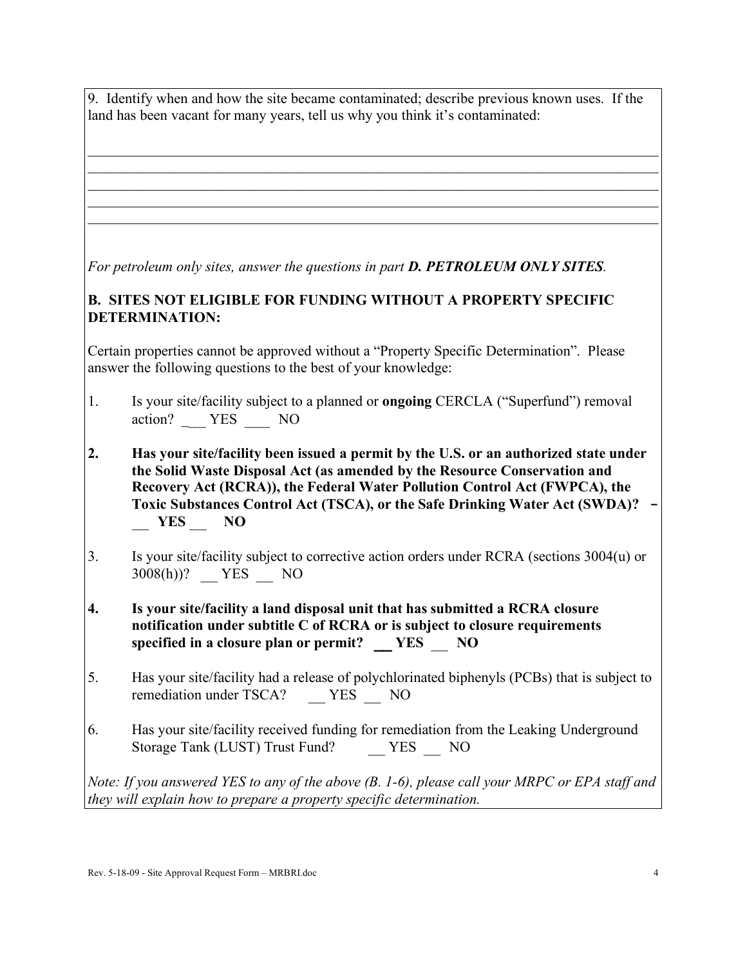9. Identify when and how the site became contaminated; describe previous known uses. If the land has been vacant for many years, tell us why you think it's contaminated:

 $\mathcal{L}_\mathcal{L} = \{ \mathcal{L}_\mathcal{L} = \{ \mathcal{L}_\mathcal{L} = \{ \mathcal{L}_\mathcal{L} = \{ \mathcal{L}_\mathcal{L} = \{ \mathcal{L}_\mathcal{L} = \{ \mathcal{L}_\mathcal{L} = \{ \mathcal{L}_\mathcal{L} = \{ \mathcal{L}_\mathcal{L} = \{ \mathcal{L}_\mathcal{L} = \{ \mathcal{L}_\mathcal{L} = \{ \mathcal{L}_\mathcal{L} = \{ \mathcal{L}_\mathcal{L} = \{ \mathcal{L}_\mathcal{L} = \{ \mathcal{L}_\mathcal{$  $\mathcal{L}_\mathcal{L} = \{ \mathcal{L}_\mathcal{L} = \{ \mathcal{L}_\mathcal{L} = \{ \mathcal{L}_\mathcal{L} = \{ \mathcal{L}_\mathcal{L} = \{ \mathcal{L}_\mathcal{L} = \{ \mathcal{L}_\mathcal{L} = \{ \mathcal{L}_\mathcal{L} = \{ \mathcal{L}_\mathcal{L} = \{ \mathcal{L}_\mathcal{L} = \{ \mathcal{L}_\mathcal{L} = \{ \mathcal{L}_\mathcal{L} = \{ \mathcal{L}_\mathcal{L} = \{ \mathcal{L}_\mathcal{L} = \{ \mathcal{L}_\mathcal{$  $\mathcal{L}_\mathcal{L} = \{ \mathcal{L}_\mathcal{L} = \{ \mathcal{L}_\mathcal{L} = \{ \mathcal{L}_\mathcal{L} = \{ \mathcal{L}_\mathcal{L} = \{ \mathcal{L}_\mathcal{L} = \{ \mathcal{L}_\mathcal{L} = \{ \mathcal{L}_\mathcal{L} = \{ \mathcal{L}_\mathcal{L} = \{ \mathcal{L}_\mathcal{L} = \{ \mathcal{L}_\mathcal{L} = \{ \mathcal{L}_\mathcal{L} = \{ \mathcal{L}_\mathcal{L} = \{ \mathcal{L}_\mathcal{L} = \{ \mathcal{L}_\mathcal{$  $\mathcal{L}_\mathcal{L} = \{ \mathcal{L}_\mathcal{L} = \{ \mathcal{L}_\mathcal{L} = \{ \mathcal{L}_\mathcal{L} = \{ \mathcal{L}_\mathcal{L} = \{ \mathcal{L}_\mathcal{L} = \{ \mathcal{L}_\mathcal{L} = \{ \mathcal{L}_\mathcal{L} = \{ \mathcal{L}_\mathcal{L} = \{ \mathcal{L}_\mathcal{L} = \{ \mathcal{L}_\mathcal{L} = \{ \mathcal{L}_\mathcal{L} = \{ \mathcal{L}_\mathcal{L} = \{ \mathcal{L}_\mathcal{L} = \{ \mathcal{L}_\mathcal{$  $\mathcal{L}_\mathcal{L} = \{ \mathcal{L}_\mathcal{L} = \{ \mathcal{L}_\mathcal{L} = \{ \mathcal{L}_\mathcal{L} = \{ \mathcal{L}_\mathcal{L} = \{ \mathcal{L}_\mathcal{L} = \{ \mathcal{L}_\mathcal{L} = \{ \mathcal{L}_\mathcal{L} = \{ \mathcal{L}_\mathcal{L} = \{ \mathcal{L}_\mathcal{L} = \{ \mathcal{L}_\mathcal{L} = \{ \mathcal{L}_\mathcal{L} = \{ \mathcal{L}_\mathcal{L} = \{ \mathcal{L}_\mathcal{L} = \{ \mathcal{L}_\mathcal{$ 

*For petroleum only sites, answer the questions in part D. PETROLEUM ONLY SITES.*

#### **B. SITES NOT ELIGIBLE FOR FUNDING WITHOUT A PROPERTY SPECIFIC DETERMINATION:**

Certain properties cannot be approved without a "Property Specific Determination". Please answer the following questions to the best of your knowledge:

- 1. Is your site/facility subject to a planned or **ongoing** CERCLA ("Superfund") removal action? \_\_\_ YES \_\_\_ NO
- **2. Has your site/facility been issued a permit by the U.S. or an authorized state under the Solid Waste Disposal Act (as amended by the Resource Conservation and Recovery Act (RCRA)), the Federal Water Pollution Control Act (FWPCA), the Toxic Substances Control Act (TSCA), or the Safe Drinking Water Act (SWDA)? -** \_\_ **YES** \_\_ **NO**
- 3. Is your site/facility subject to corrective action orders under RCRA (sections 3004(u) or 3008(h))? \_\_ YES \_\_ NO
- **4. Is your site/facility a land disposal unit that has submitted a RCRA closure notification under subtitle C of RCRA or is subject to closure requirements specified in a closure plan or permit? \_\_ YES** \_\_ **NO**
- 5. Has your site/facility had a release of polychlorinated biphenyls (PCBs) that is subject to remediation under TSCA? YES NO
- 6. Has your site/facility received funding for remediation from the Leaking Underground Storage Tank (LUST) Trust Fund? YES NO

*Note: If you answered YES to any of the above (B. 1-6), please call your MRPC or EPA staff and they will explain how to prepare a property specific determination.*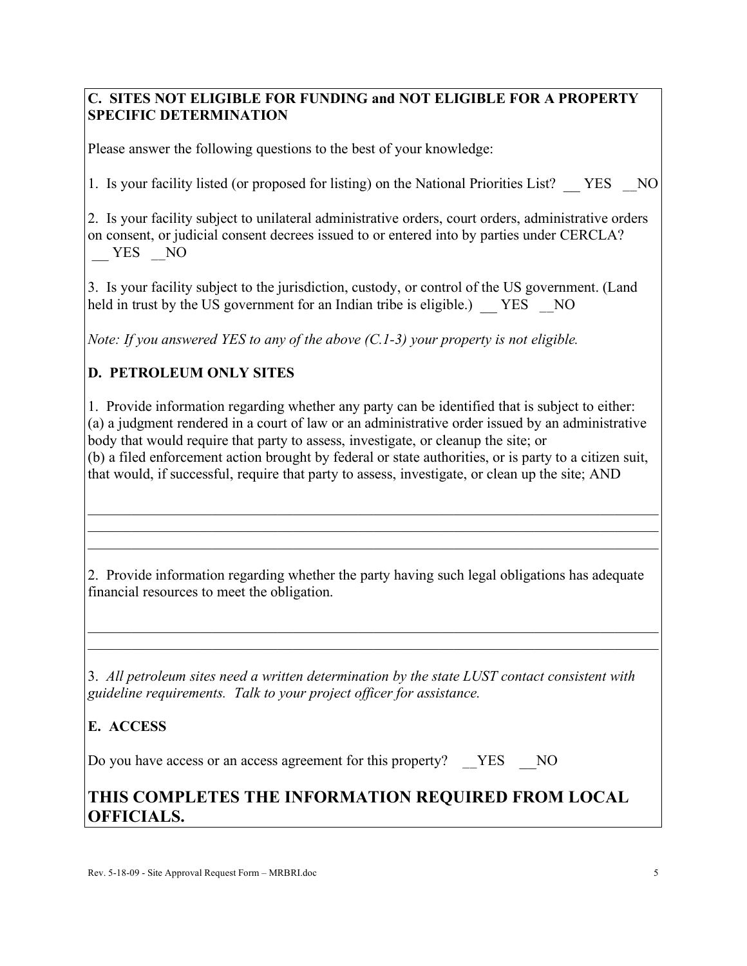### **C. SITES NOT ELIGIBLE FOR FUNDING and NOT ELIGIBLE FOR A PROPERTY SPECIFIC DETERMINATION**

Please answer the following questions to the best of your knowledge:

1. Is your facility listed (or proposed for listing) on the National Priorities List? YES NO

2. Is your facility subject to unilateral administrative orders, court orders, administrative orders on consent, or judicial consent decrees issued to or entered into by parties under CERCLA? \_\_ YES \_\_NO

3. Is your facility subject to the jurisdiction, custody, or control of the US government. (Land held in trust by the US government for an Indian tribe is eligible.) YES NO

*Note: If you answered YES to any of the above (C.1-3) your property is not eligible.*

### **D. PETROLEUM ONLY SITES**

1. Provide information regarding whether any party can be identified that is subject to either: (a) a judgment rendered in a court of law or an administrative order issued by an administrative body that would require that party to assess, investigate, or cleanup the site; or (b) a filed enforcement action brought by federal or state authorities, or is party to a citizen suit, that would, if successful, require that party to assess, investigate, or clean up the site; AND

 $\mathcal{L}_\mathcal{L} = \{ \mathcal{L}_\mathcal{L} = \{ \mathcal{L}_\mathcal{L} = \{ \mathcal{L}_\mathcal{L} = \{ \mathcal{L}_\mathcal{L} = \{ \mathcal{L}_\mathcal{L} = \{ \mathcal{L}_\mathcal{L} = \{ \mathcal{L}_\mathcal{L} = \{ \mathcal{L}_\mathcal{L} = \{ \mathcal{L}_\mathcal{L} = \{ \mathcal{L}_\mathcal{L} = \{ \mathcal{L}_\mathcal{L} = \{ \mathcal{L}_\mathcal{L} = \{ \mathcal{L}_\mathcal{L} = \{ \mathcal{L}_\mathcal{$  $\mathcal{L}_\mathcal{L} = \{ \mathcal{L}_\mathcal{L} = \{ \mathcal{L}_\mathcal{L} = \{ \mathcal{L}_\mathcal{L} = \{ \mathcal{L}_\mathcal{L} = \{ \mathcal{L}_\mathcal{L} = \{ \mathcal{L}_\mathcal{L} = \{ \mathcal{L}_\mathcal{L} = \{ \mathcal{L}_\mathcal{L} = \{ \mathcal{L}_\mathcal{L} = \{ \mathcal{L}_\mathcal{L} = \{ \mathcal{L}_\mathcal{L} = \{ \mathcal{L}_\mathcal{L} = \{ \mathcal{L}_\mathcal{L} = \{ \mathcal{L}_\mathcal{$  $\mathcal{L}_\mathcal{L} = \{ \mathcal{L}_\mathcal{L} = \{ \mathcal{L}_\mathcal{L} = \{ \mathcal{L}_\mathcal{L} = \{ \mathcal{L}_\mathcal{L} = \{ \mathcal{L}_\mathcal{L} = \{ \mathcal{L}_\mathcal{L} = \{ \mathcal{L}_\mathcal{L} = \{ \mathcal{L}_\mathcal{L} = \{ \mathcal{L}_\mathcal{L} = \{ \mathcal{L}_\mathcal{L} = \{ \mathcal{L}_\mathcal{L} = \{ \mathcal{L}_\mathcal{L} = \{ \mathcal{L}_\mathcal{L} = \{ \mathcal{L}_\mathcal{$ 

2. Provide information regarding whether the party having such legal obligations has adequate financial resources to meet the obligation.

 $\mathcal{L}_\mathcal{L} = \{ \mathcal{L}_\mathcal{L} = \{ \mathcal{L}_\mathcal{L} = \{ \mathcal{L}_\mathcal{L} = \{ \mathcal{L}_\mathcal{L} = \{ \mathcal{L}_\mathcal{L} = \{ \mathcal{L}_\mathcal{L} = \{ \mathcal{L}_\mathcal{L} = \{ \mathcal{L}_\mathcal{L} = \{ \mathcal{L}_\mathcal{L} = \{ \mathcal{L}_\mathcal{L} = \{ \mathcal{L}_\mathcal{L} = \{ \mathcal{L}_\mathcal{L} = \{ \mathcal{L}_\mathcal{L} = \{ \mathcal{L}_\mathcal{$  $\mathcal{L}_\mathcal{L} = \{ \mathcal{L}_\mathcal{L} = \{ \mathcal{L}_\mathcal{L} = \{ \mathcal{L}_\mathcal{L} = \{ \mathcal{L}_\mathcal{L} = \{ \mathcal{L}_\mathcal{L} = \{ \mathcal{L}_\mathcal{L} = \{ \mathcal{L}_\mathcal{L} = \{ \mathcal{L}_\mathcal{L} = \{ \mathcal{L}_\mathcal{L} = \{ \mathcal{L}_\mathcal{L} = \{ \mathcal{L}_\mathcal{L} = \{ \mathcal{L}_\mathcal{L} = \{ \mathcal{L}_\mathcal{L} = \{ \mathcal{L}_\mathcal{$ 

3. *All petroleum sites need a written determination by the state LUST contact consistent with guideline requirements. Talk to your project officer for assistance.*

### **E. ACCESS**

Do you have access or an access agreement for this property? YES NO

# **THIS COMPLETES THE INFORMATION REQUIRED FROM LOCAL OFFICIALS.**